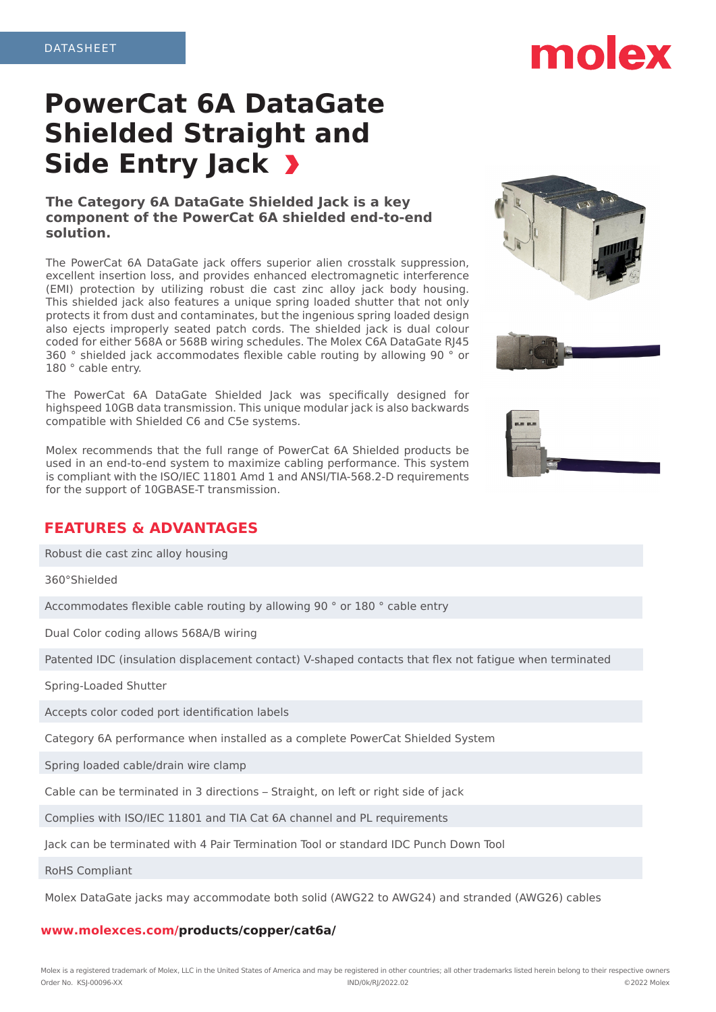# **PowerCat 6A DataGate Shielded Straight and Side Entry Jack**

### **The Category 6A DataGate Shielded Jack is a key component of the PowerCat 6A shielded end-to-end solution.**

The PowerCat 6A DataGate jack offers superior alien crosstalk suppression, excellent insertion loss, and provides enhanced electromagnetic interference (EMI) protection by utilizing robust die cast zinc alloy jack body housing. This shielded jack also features a unique spring loaded shutter that not only protects it from dust and contaminates, but the ingenious spring loaded design also ejects improperly seated patch cords. The shielded jack is dual colour coded for either 568A or 568B wiring schedules. The Molex C6A DataGate RJ45 360 ° shielded jack accommodates flexible cable routing by allowing 90 ° or 180 ° cable entry.

The PowerCat 6A DataGate Shielded Jack was specifically designed for highspeed 10GB data transmission. This unique modular jack is also backwards compatible with Shielded C6 and C5e systems.

Molex recommends that the full range of PowerCat 6A Shielded products be used in an end-to-end system to maximize cabling performance. This system is compliant with the ISO/IEC 11801 Amd 1 and ANSI/TIA-568.2-D requirements for the support of 10GBASE-T transmission.

## **FEATURES & ADVANTAGES**

Robust die cast zinc alloy housing

360°Shielded

Accommodates flexible cable routing by allowing 90 ° or 180 ° cable entry

Dual Color coding allows 568A/B wiring

Patented IDC (insulation displacement contact) V-shaped contacts that flex not fatigue when terminated

Spring-Loaded Shutter

Accepts color coded port identification labels

Category 6A performance when installed as a complete PowerCat Shielded System

Spring loaded cable/drain wire clamp

Cable can be terminated in 3 directions – Straight, on left or right side of jack

Complies with ISO/IEC 11801 and TIA Cat 6A channel and PL requirements

Jack can be terminated with 4 Pair Termination Tool or standard IDC Punch Down Tool

RoHS Compliant

Molex DataGate jacks may accommodate both solid (AWG22 to AWG24) and stranded (AWG26) cables

#### **www.molexces.com/products/copper/cat6a/**







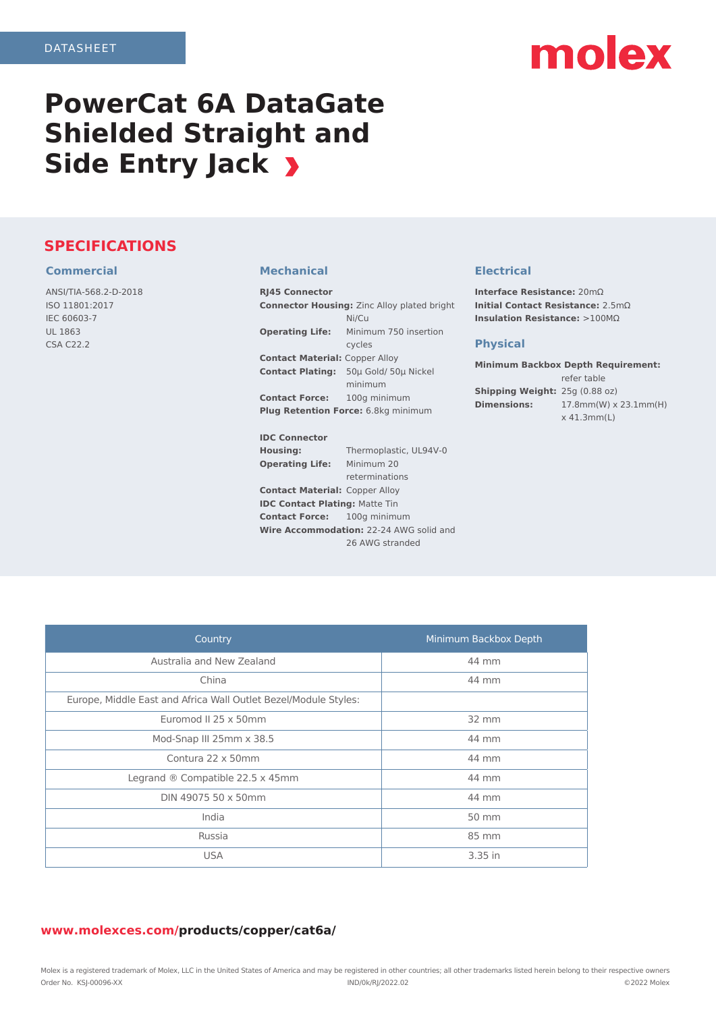# molex

# **PowerCat 6A DataGate Shielded Straight and Side Entry Jack**

## **SPECIFICATIONS**

#### **Commercial**

ANSI/TIA-568.2-D-2018 ISO 11801:2017 IEC 60603-7 UL 1863 CSA C22.2

#### **Mechanical**

| <b>RJ45 Connector</b>                              |                        |  |
|----------------------------------------------------|------------------------|--|
| <b>Connector Housing: Zinc Alloy plated bright</b> |                        |  |
|                                                    | Ni/Cu                  |  |
| <b>Operating Life:</b>                             | Minimum 750 insertion  |  |
|                                                    | cycles                 |  |
| <b>Contact Material: Copper Alloy</b>              |                        |  |
| <b>Contact Plating:</b>                            | 50µ Gold/ 50µ Nickel   |  |
|                                                    | minimum                |  |
| <b>Contact Force:</b>                              | 100g minimum           |  |
| <b>Plug Retention Force:</b> 6.8kg minimum         |                        |  |
|                                                    |                        |  |
| <b>IDC Connector</b>                               |                        |  |
| Housing:                                           | Thermoplastic, UL94V-0 |  |
| <b>Operating Life:</b>                             | Minimum 20             |  |
|                                                    | reterminations         |  |
| <b>Contact Material: Copper Alloy</b>              |                        |  |
| <b>IDC Contact Plating: Matte Tin</b>              |                        |  |

**Contact Force:** 100g minimum

**Wire Accommodation:** 22-24 AWG solid and

26 AWG stranded

### **Electrical**

**Interface Resistance:** 20mΩ **Initial Contact Resistance:** 2.5mΩ **Insulation Resistance:** >100MΩ

#### **Physical**

**Minimum Backbox Depth Requirement:** refer table **Shipping Weight:** 25g (0.88 oz) **Dimensions:** 17.8mm(W) x 23.1mm(H) x 41.3mm(L)

| Country                                                         | Minimum Backbox Depth |
|-----------------------------------------------------------------|-----------------------|
| Australia and New Zealand                                       | 44 mm                 |
| China                                                           | 44 mm                 |
| Europe, Middle East and Africa Wall Outlet Bezel/Module Styles: |                       |
| Euromod II 25 x 50mm                                            | 32 mm                 |
| Mod-Snap III 25mm x 38.5                                        | 44 mm                 |
| Contura 22 x 50mm                                               | 44 mm                 |
| Legrand $\odot$ Compatible 22.5 x 45mm                          | 44 mm                 |
| DIN 49075 50 x 50mm                                             | 44 mm                 |
| India                                                           | 50 mm                 |
| Russia                                                          | 85 mm                 |
| <b>USA</b>                                                      | 3.35 in               |

#### **www.molexces.com/products/copper/cat6a/**